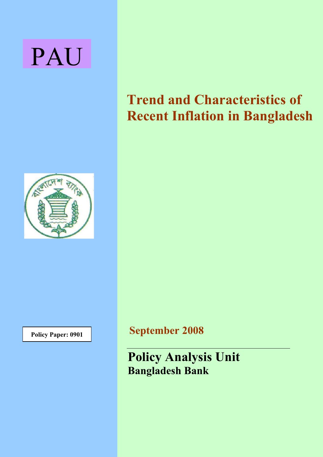# PAU



# **Trend and Characteristics of Recent Inflation in Bangladesh**

**Policy Paper: 0901** 

**September 2008**

**Policy Analysis Unit Bangladesh Bank**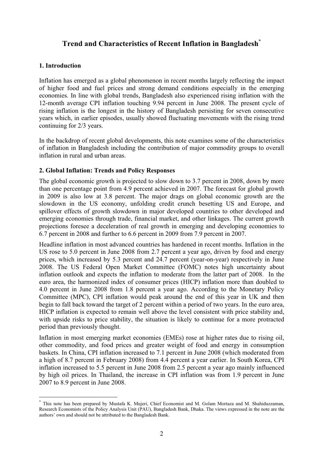# **Trend and Characteristics of Recent Inflation in Bangladesh\***

## **1. Introduction**

Inflation has emerged as a global phenomenon in recent months largely reflecting the impact of higher food and fuel prices and strong demand conditions especially in the emerging economies. In line with global trends, Bangladesh also experienced rising inflation with the 12-month average CPI inflation touching 9.94 percent in June 2008. The present cycle of rising inflation is the longest in the history of Bangladesh persisting for seven consecutive years which, in earlier episodes, usually showed fluctuating movements with the rising trend continuing for 2/3 years.

In the backdrop of recent global developments, this note examines some of the characteristics of inflation in Bangladesh including the contribution of major commodity groups to overall inflation in rural and urban areas.

# **2. Global Inflation: Trends and Policy Responses**

The global economic growth is projected to slow down to 3.7 percent in 2008, down by more than one percentage point from 4.9 percent achieved in 2007. The forecast for global growth in 2009 is also low at 3.8 percent. The major drags on global economic growth are the slowdown in the US economy, unfolding credit crunch besetting US and Europe, and spillover effects of growth slowdown in major developed countries to other developed and emerging economies through trade, financial market, and other linkages. The current growth projections foresee a deceleration of real growth in emerging and developing economies to 6.7 percent in 2008 and further to 6.6 percent in 2009 from 7.9 percent in 2007.

Headline inflation in most advanced countries has hardened in recent months. Inflation in the US rose to 5.0 percent in June 2008 from 2.7 percent a year ago, driven by food and energy prices, which increased by 5.3 percent and 24.7 percent (year-on-year) respectively in June 2008. The US Federal Open Market Committee (FOMC) notes high uncertainty about inflation outlook and expects the inflation to moderate from the latter part of 2008. In the euro area, the harmonized index of consumer prices (HICP) inflation more than doubled to 4.0 percent in June 2008 from 1.8 percent a year ago. According to the Monetary Policy Committee (MPC), CPI inflation would peak around the end of this year in UK and then begin to fall back toward the target of 2 percent within a period of two years. In the euro area, HICP inflation is expected to remain well above the level consistent with price stability and, with upside risks to price stability, the situation is likely to continue for a more protracted period than previously thought.

Inflation in most emerging market economies (EMEs) rose at higher rates due to rising oil, other commodity, and food prices and greater weight of food and energy in consumption baskets. In China, CPI inflation increased to 7.1 percent in June 2008 (which moderated from a high of 8.7 percent in February 2008) from 4.4 percent a year earlier. In South Korea, CPI inflation increased to 5.5 percent in June 2008 from 2.5 percent a year ago mainly influenced by high oil prices. In Thailand, the increase in CPI inflation was from 1.9 percent in June 2007 to 8.9 percent in June 2008.

<sup>\*</sup> This note has been prepared by Mustafa K. Mujeri, Chief Economist and M. Golam Mortaza and M. Shahiduzzaman, Research Economists of the Policy Analysis Unit (PAU), Bangladesh Bank, Dhaka. The views expressed in the note are the authors' own and should not be attributed to the Bangladesh Bank.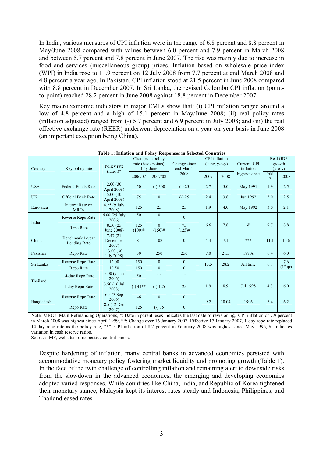In India, various measures of CPI inflation were in the range of 6.8 percent and 8.8 percent in May/June 2008 compared with values between 6.0 percent and 7.9 percent in March 2008 and between 5.7 percent and 7.8 percent in June 2007. The rise was mainly due to increase in food and services (miscellaneous group) prices. Inflation based on wholesale price index (WPI) in India rose to 11.9 percent on 12 July 2008 from 7.7 percent at end March 2008 and 4.8 percent a year ago. In Pakistan, CPI inflation stood at 21.5 percent in June 2008 compared with 8.8 percent in December 2007. In Sri Lanka, the revised Colombo CPI inflation (pointto-point) reached 28.2 percent in June 2008 against 18.8 percent in December 2007.

Key macroeconomic indicators in major EMEs show that: (i) CPI inflation ranged around a low of 4.8 percent and a high of 15.1 percent in May/June 2008; (ii) real policy rates (inflation adjusted) ranged from (-) 5.7 percent and 6.9 percent in July 2008; and (iii) the real effective exchange rate (REER) underwent depreciation on a year-on-year basis in June 2008 (an important exception being China).

| Country    | Key policy rate                  | Policy rate<br>$(lates t)*$     | Changes in policy<br>rate (basis points)<br>July-June |                       | Change since<br>end March | CPI inflation<br>$(June, y-o-y)$ |       | Current CPI<br>inflation |                        | Real GDP<br>growth<br>$(y-o-y)$ |
|------------|----------------------------------|---------------------------------|-------------------------------------------------------|-----------------------|---------------------------|----------------------------------|-------|--------------------------|------------------------|---------------------------------|
|            |                                  |                                 | 2006/07                                               | 2007/08               | 2008                      | 2007                             | 2008  | highest since            | 200<br>$7\phantom{.0}$ | 2008                            |
| <b>USA</b> | <b>Federal Funds Rate</b>        | 2.00(30)<br>April 2008)         | 50                                                    | $(-)300$              | $(-) 25$                  | 2.7                              | 5.0   | May 1991                 | 1.9                    | 2.5                             |
| <b>UK</b>  | <b>Official Bank Rate</b>        | 5.00 (10)<br>April 2008)        | 75                                                    | $\mathbf{0}$          | $(-) 25$                  | 2.4                              | 3.8   | Jun 1992                 | 3.0                    | 2.5                             |
| Euro area  | Interest Rate on<br><b>MROs</b>  | $4.25(9$ July<br>2008)          | 125                                                   | 25                    | 25                        | 1.9                              | 4.0   | May 1992                 | 3.0                    | 2.1                             |
| India      | Reverse Repo Rate                | 6.00 (25 July<br>2006)          | 50                                                    | $\mathbf{0}$          | $\Omega$                  | 7.8<br>6.6                       |       |                          |                        |                                 |
|            | Repo Rate                        | 8.50 (25)<br>June 2008)         | 125<br>$(100)$ #                                      | $\Omega$<br>$(150)$ # | 75<br>$(125)$ #           |                                  |       | $\overline{a}$           | 9.7                    | 8.8                             |
| China      | Benchmark 1-year<br>Lending Rate | 7.47 (21)<br>December<br>2007)  | 81                                                    | 108                   | $\theta$                  | 4.4                              | 7.1   | ***                      | 11.1                   | 10.6                            |
| Pakistan   | Repo Rate                        | 13.00 (30)<br><b>July 2008)</b> | 50                                                    | 250                   | 250                       | 7.0                              | 21.5  | 1970s                    | 6.4                    | 6.0                             |
| Sri Lanka  | Reverse Repo Rate                | 12.00                           | 150                                                   | $\theta$              | $\theta$                  | 13.5                             | 28.2  | All time                 | 6.7                    | 7.6                             |
|            | Repo Rate                        | 10.50                           | 150                                                   | $\Omega$              | $\theta$                  |                                  |       |                          |                        | (1 <sup>st</sup> qr)            |
| Thailand   | 14-day Repo Rate                 | 5.00 (7 Jun<br>2006)            | 50                                                    | $\ldots$              | $\sim$ $\sim$ $\sim$      |                                  |       |                          |                        |                                 |
|            | 1-day Repo Rate                  | 3.50 (16 Jul<br>2008)           | $(-)$ 44**                                            | $(-) 125$             | 25                        | 1.9                              | 8.9   | Jul 1998                 | 4.3                    | 6.0                             |
|            | Reverse Repo Rate                | 6.5(3Sep)<br>2006)              | 46                                                    | $\mathbf{0}$          | $\mathbf{0}$              | 9.2                              | 10.04 | 1996                     | 6.4                    | 6.2                             |
| Bangladesh | Repo Rate                        | 8.5 (12 Dec<br>2007)            | 125                                                   | $(-) 75$              |                           |                                  |       |                          |                        |                                 |

| Table 1: Inflation and Policy Responses in Selected Countries |
|---------------------------------------------------------------|
|---------------------------------------------------------------|

Note: MROs: Main Refinancing Operations, \*: Date in parentheses indicates the last date of revision, @: CPI inflation of 7.9 percent in March 2008 was highest since April 1999, \*\*: Change over 16 January 2007. Effective 17 January 2007, 1-day repo rate replaced 14-day repo rate as the policy rate, \*\*\*: CPI inflation of 8.7 percent in February 2008 was highest since May 1996, #: Indicates variation in cash reserve ratios.

Source: IMF, websites of respective central banks.

Despite hardening of inflation, many central banks in advanced economies persisted with accommodative monetary policy fostering market liquidity and promoting growth (Table 1). In the face of the twin challenge of controlling inflation and remaining alert to downside risks from the slowdown in the advanced economies, the emerging and developing economies adopted varied responses. While countries like China, India, and Republic of Korea tightened their monetary stance, Malaysia kept its interest rates steady and Indonesia, Philippines, and Thailand eased rates.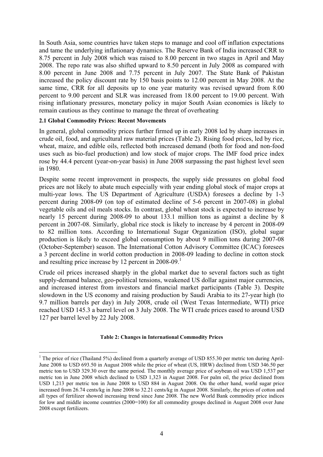In South Asia, some countries have taken steps to manage and cool off inflation expectations and tame the underlying inflationary dynamics. The Reserve Bank of India increased CRR to 8.75 percent in July 2008 which was raised to 8.00 percent in two stages in April and May 2008. The repo rate was also shifted upward to 8.50 percent in July 2008 as compared with 8.00 percent in June 2008 and 7.75 percent in July 2007. The State Bank of Pakistan increased the policy discount rate by 150 basis points to 12.00 percent in May 2008. At the same time, CRR for all deposits up to one year maturity was revised upward from 8.00 percent to 9.00 percent and SLR was increased from 18.00 percent to 19.00 percent. With rising inflationary pressures, monetary policy in major South Asian economies is likely to remain cautious as they continue to manage the threat of overheating

#### **2.1 Global Commodity Prices: Recent Movements**

In general, global commodity prices further firmed up in early 2008 led by sharp increases in crude oil, food, and agricultural raw material prices (Table 2). Rising food prices, led by rice, wheat, maize, and edible oils, reflected both increased demand (both for food and non-food uses such as bio-fuel production) and low stock of major crops. The IMF food price index rose by 44.4 percent (year-on-year basis) in June 2008 surpassing the past highest level seen in 1980.

Despite some recent improvement in prospects, the supply side pressures on global food prices are not likely to abate much especially with year ending global stock of major crops at multi-year lows. The US Department of Agriculture (USDA) foresees a decline by 1-3 percent during 2008-09 (on top of estimated decline of 5-6 percent in 2007-08) in global vegetable oils and oil meals stocks. In contrast, global wheat stock is expected to increase by nearly 15 percent during 2008-09 to about 133.1 million tons as against a decline by 8 percent in 2007-08. Similarly, global rice stock is likely to increase by 4 percent in 2008-09 to 82 million tons. According to International Sugar Organization (ISO), global sugar production is likely to exceed global consumption by about 9 million tons during 2007-08 (October-September) season. The International Cotton Advisory Committee (ICAC) foresees a 3 percent decline in world cotton production in 2008-09 leading to decline in cotton stock and resulting price increase by 12 percent in 2008-09.<sup>1</sup>

Crude oil prices increased sharply in the global market due to several factors such as tight supply-demand balance, geo-political tensions, weakened US dollar against major currencies, and increased interest from investors and financial market participants (Table 3). Despite slowdown in the US economy and raising production by Saudi Arabia to its 27-year high (to 9.7 million barrels per day) in July 2008, crude oil (West Texas Intermediate, WTI) price reached USD 145.3 a barrel level on 3 July 2008. The WTI crude prices eased to around USD 127 per barrel level by 22 July 2008.

#### **Table 2: Changes in International Commodity Prices**

<sup>&</sup>lt;sup>1</sup> The price of rice (Thailand 5%) declined from a quarterly average of USD 855.30 per metric ton during April-June 2008 to USD 693.50 in August 2008 while the price of wheat (US, HRW) declined from USD 346.50 per metric ton to USD 329.30 over the same period. The monthly average price of soybean oil was USD 1,537 per metric ton in June 2008 which declined to USD 1,323 in August 2008. For palm oil, the price declined from USD 1,213 per metric ton in June 2008 to USD 884 in August 2008. On the other hand, world sugar price increased from 26.74 cents/kg in June 2008 to 32.21 cents/kg in August 2008. Similarly, the prices of cotton and all types of fertilizer showed increasing trend since June 2008. The new World Bank commodity price indices for low and middle income countries (2000=100) for all commodity groups declined in August 2008 over June 2008 except fertilizers.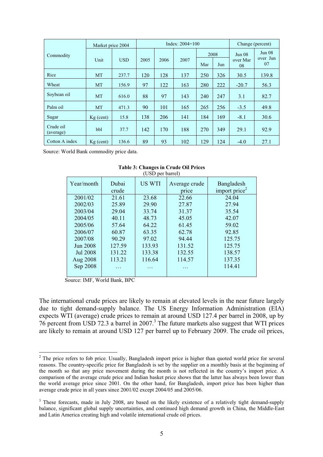|                        | Market price 2004 |            |      | Index: $2004 = 100$ |      |     | Change (percent) |                |                    |
|------------------------|-------------------|------------|------|---------------------|------|-----|------------------|----------------|--------------------|
| Commodity              |                   |            |      |                     |      |     | 2008             | Jun 08         | Jun 08<br>over Jun |
|                        | Unit              | <b>USD</b> | 2005 | 2006                | 2007 | Mar | Jun              | over Mar<br>08 | 07                 |
| Rice                   | MT                | 237.7      | 120  | 128                 | 137  | 250 | 326              | 30.5           | 139.8              |
| Wheat                  | MT                | 156.9      | 97   | 122                 | 163  | 280 | 222              | $-20.7$        | 56.3               |
| Soybean oil            | MT                | 616.0      | 88   | 97                  | 143  | 240 | 247              | 3.1            | 82.7               |
| Palm oil               | MT                | 471.3      | 90   | 101                 | 165  | 265 | 256              | $-3.5$         | 49.8               |
| Sugar                  | $Kg$ (cent)       | 15.8       | 138  | 206                 | 141  | 184 | 169              | $-8.1$         | 30.6               |
| Crude oil<br>(average) | bbl               | 37.7       | 142  | 170                 | 188  | 270 | 349              | 29.1           | 92.9               |
| Cotton A index         | $Kg$ (cent)       | 136.6      | 89   | 93                  | 102  | 129 | 124              | $-4.0$         | 27.1               |

Source: World Bank commodity price data.

|                 |                | $\sqrt{2}$ |                        |                                |
|-----------------|----------------|------------|------------------------|--------------------------------|
| Year/month      | Dubai<br>crude | US WTI     | Average crude<br>price | Bangladesh<br>import price $2$ |
| 2001/02         | 21.61          | 23.68      | 22.66                  | 24.04                          |
| 2002/03         | 25.89          | 29.90      | 27.87                  | 27.94                          |
| 2003/04         | 29.04          | 33.74      | 31.37                  | 35.54                          |
| 2004/05         | 40.11          | 48.73      | 45.05                  | 42.07                          |
| 2005/06         | 57.64          | 64.22      | 61.45                  | 59.02                          |
| 2006/07         | 60.87          | 63.35      | 62.78                  | 92.85                          |
| 2007/08         | 90.29          | 97.02      | 94.44                  | 125.75                         |
| Jun 2008        | 127.59         | 133.93     | 131.52                 | 125.75                         |
| <b>Jul 2008</b> | 131.22         | 133.38     | 132.55                 | 138.57                         |
| Aug 2008        | 113.21         | 116.64     | 114.57                 | 137.35                         |
| Sep 2008        | .              | .          | .                      | 114.41                         |
|                 |                |            |                        |                                |

#### **Table 3: Changes in Crude Oil Prices**  $(UBD<sub>per</sub> bar<sub>1</sub>)$

Source: IMF, World Bank, BPC

The international crude prices are likely to remain at elevated levels in the near future largely due to tight demand-supply balance. The US Energy Information Administration (EIA) expects WTI (average) crude prices to remain at around USD 127.4 per barrel in 2008, up by 76 percent from USD 72.3 a barrel in 2007.<sup>3</sup> The future markets also suggest that WTI prices are likely to remain at around USD 127 per barrel up to February 2009. The crude oil prices,

 $2$  The price refers to fob price. Usually, Bangladesh import price is higher than quoted world price for several reasons. The country-specific price for Bangladesh is set by the supplier on a monthly basis at the beginning of the month so that any price movement during the month is not reflected in the country's import price. A comparison of the average crude price and Indian basket price shows that the latter has always been lower than the world average price since 2001. On the other hand, for Bangladesh, import price has been higher than average crude price in all years since 2001/02 except 2004/05 and 2005/06.

<sup>&</sup>lt;sup>3</sup> These forecasts, made in July 2008, are based on the likely existence of a relatively tight demand-supply balance, significant global supply uncertainties, and continued high demand growth in China, the Middle-East and Latin America creating high and volatile international crude oil prices.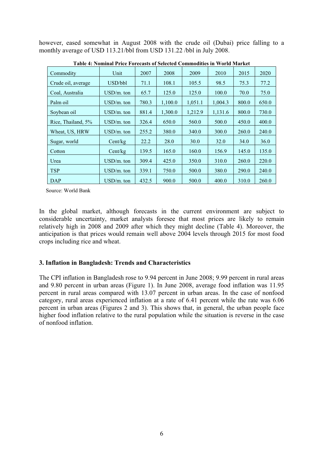however, eased somewhat in August 2008 with the crude oil (Dubai) price falling to a monthly average of USD 113.21/bbl from USD 131.22 /bbl in July 2008.

| Commodity          | Unit         | 2007  | 2008    | 2009    | 2010    | 2015  | 2020  |
|--------------------|--------------|-------|---------|---------|---------|-------|-------|
| Crude oil, average | USD/bbl      | 71.1  | 108.1   | 105.5   | 98.5    | 75.3  | 77.2  |
| Coal, Australia    | $USD/m.$ ton | 65.7  | 125.0   | 125.0   | 100.0   | 70.0  | 75.0  |
| Palm oil           | $USD/m.$ ton | 780.3 | 1,100.0 | 1,051.1 | 1.004.3 | 800.0 | 650.0 |
| Soybean oil        | $USD/m.$ ton | 881.4 | 1,300.0 | 1,212.9 | 1,131.6 | 800.0 | 730.0 |
| Rice, Thailand, 5% | $USD/m.$ ton | 326.4 | 650.0   | 560.0   | 500.0   | 450.0 | 400.0 |
| Wheat, US, HRW     | $USD/m.$ ton | 255.2 | 380.0   | 340.0   | 300.0   | 260.0 | 240.0 |
| Sugar, world       | Cent/kg      | 22.2  | 28.0    | 30.0    | 32.0    | 34.0  | 36.0  |
| Cotton             | Cent/kg      | 139.5 | 165.0   | 160.0   | 156.9   | 145.0 | 135.0 |
| Urea               | $USD/m.$ ton | 309.4 | 425.0   | 350.0   | 310.0   | 260.0 | 220.0 |
| <b>TSP</b>         | $USD/m.$ ton | 339.1 | 750.0   | 500.0   | 380.0   | 290.0 | 240.0 |
| DAP                | $USD/m.$ ton | 432.5 | 900.0   | 500.0   | 400.0   | 310.0 | 260.0 |

**Table 4: Nominal Price Forecasts of Selected Commodities in World Market**

Source: World Bank

In the global market, although forecasts in the current environment are subject to considerable uncertainty, market analysts foresee that most prices are likely to remain relatively high in 2008 and 2009 after which they might decline (Table 4). Moreover, the anticipation is that prices would remain well above 2004 levels through 2015 for most food crops including rice and wheat.

# **3. Inflation in Bangladesh: Trends and Characteristics**

The CPI inflation in Bangladesh rose to 9.94 percent in June 2008; 9.99 percent in rural areas and 9.80 percent in urban areas (Figure 1). In June 2008, average food inflation was 11.95 percent in rural areas compared with 13.07 percent in urban areas. In the case of nonfood category, rural areas experienced inflation at a rate of 6.41 percent while the rate was 6.06 percent in urban areas (Figures 2 and 3). This shows that, in general, the urban people face higher food inflation relative to the rural population while the situation is reverse in the case of nonfood inflation.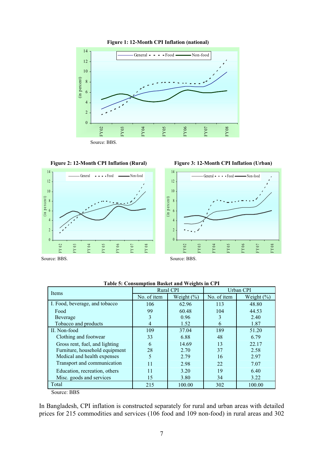

**Figure 2: 12-Month CPI Inflation (Rural)**



**Figure 3: 12-Month CPI Inflation (Urban)**



Source: BBS.

Source: BBS.

| <b>Items</b>                   |             | <b>Rural CPI</b> | Urban CPI   |                |  |  |
|--------------------------------|-------------|------------------|-------------|----------------|--|--|
|                                | No. of item | Weight $(\% )$   | No. of item | Weight $(\% )$ |  |  |
| I. Food, beverage, and tobacco | 106         | 62.96            | 113         | 48.80          |  |  |
| Food                           | 99          | 60.48            | 104         | 44.53          |  |  |
| Beverage                       | 3           | 0.96             | 3           | 2.40           |  |  |
| Tobacco and products           | 4           | 1.52             | 6           | 1.87           |  |  |
| II. Non-food                   | 109         | 37.04            | 189         | 51.20          |  |  |
| Clothing and footwear          | 33          | 6.88             | 48          | 6.79           |  |  |
| Gross rent, fuel, and lighting | 6           | 14.69            | 13          | 22.17          |  |  |
| Furniture, household equipment | 28          | 2.70             | 37          | 2.58           |  |  |
| Medical and health expenses    | 5           | 2.79             | 16          | 2.97           |  |  |
| Transport and communication    | 11          | 2.98             | 22          | 7.07           |  |  |
| Education, recreation, others  | 11          | 3.20             | 19          | 6.40           |  |  |
| Misc. goods and services       | 15          | 3.80             | 34          | 3.22           |  |  |
| Total                          | 215         | 100.00           | 302         | 100.00         |  |  |

**Table 5: Consumption Basket and Weights in CPI**

Source: BBS

In Bangladesh, CPI inflation is constructed separately for rural and urban areas with detailed prices for 215 commodities and services (106 food and 109 non-food) in rural areas and 302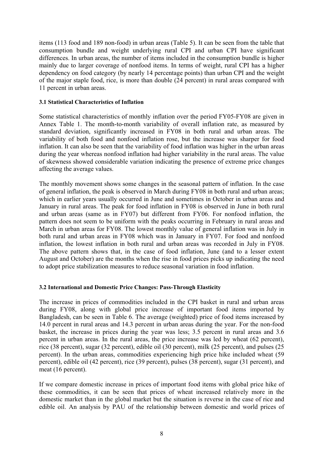items (113 food and 189 non-food) in urban areas (Table 5). It can be seen from the table that consumption bundle and weight underlying rural CPI and urban CPI have significant differences. In urban areas, the number of items included in the consumption bundle is higher mainly due to larger coverage of nonfood items. In terms of weight, rural CPI has a higher dependency on food category (by nearly 14 percentage points) than urban CPI and the weight of the major staple food, rice, is more than double (24 percent) in rural areas compared with 11 percent in urban areas.

#### **3.1 Statistical Characteristics of Inflation**

Some statistical characteristics of monthly inflation over the period FY05-FY08 are given in Annex Table 1. The month-to-month variability of overall inflation rate, as measured by standard deviation, significantly increased in FY08 in both rural and urban areas. The variability of both food and nonfood inflation rose, but the increase was sharper for food inflation. It can also be seen that the variability of food inflation was higher in the urban areas during the year whereas nonfood inflation had higher variability in the rural areas. The value of skewness showed considerable variation indicating the presence of extreme price changes affecting the average values.

The monthly movement shows some changes in the seasonal pattern of inflation. In the case of general inflation, the peak is observed in March during FY08 in both rural and urban areas; which in earlier years usually occurred in June and sometimes in October in urban areas and January in rural areas. The peak for food inflation in FY08 is observed in June in both rural and urban areas (same as in FY07) but different from FY06. For nonfood inflation, the pattern does not seem to be uniform with the peaks occurring in February in rural areas and March in urban areas for FY08. The lowest monthly value of general inflation was in July in both rural and urban areas in FY08 which was in January in FY07. For food and nonfood inflation, the lowest inflation in both rural and urban areas was recorded in July in FY08. The above pattern shows that, in the case of food inflation, June (and to a lesser extent August and October) are the months when the rise in food prices picks up indicating the need to adopt price stabilization measures to reduce seasonal variation in food inflation.

#### **3.2 International and Domestic Price Changes: Pass-Through Elasticity**

The increase in prices of commodities included in the CPI basket in rural and urban areas during FY08, along with global price increase of important food items imported by Bangladesh, can be seen in Table 6. The average (weighted) price of food items increased by 14.0 percent in rural areas and 14.3 percent in urban areas during the year. For the non-food basket, the increase in prices during the year was less; 3.5 percent in rural areas and 3.6 percent in urban areas. In the rural areas, the price increase was led by wheat (62 percent), rice (38 percent), sugar (32 percent), edible oil (30 percent), milk (25 percent), and pulses (25 percent). In the urban areas, commodities experiencing high price hike included wheat (59 percent), edible oil (42 percent), rice (39 percent), pulses (38 percent), sugar (31 percent), and meat (16 percent).

If we compare domestic increase in prices of important food items with global price hike of these commodities, it can be seen that prices of wheat increased relatively more in the domestic market than in the global market but the situation is reverse in the case of rice and edible oil. An analysis by PAU of the relationship between domestic and world prices of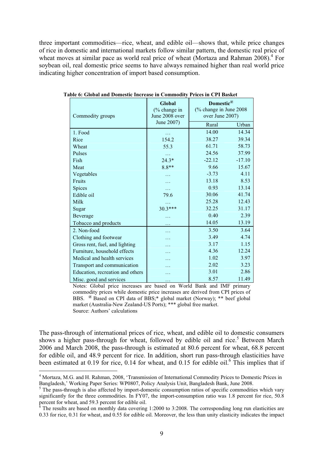three important commodities—rice, wheat, and edible oil—shows that, while price changes of rice in domestic and international markets follow similar pattern, the domestic real price of wheat moves at similar pace as world real price of wheat (Mortaza and Rahman 2008).<sup>4</sup> For soybean oil, real domestic price seems to have always remained higher than real world price indicating higher concentration of import based consumption.

| Commodity groups                 | Global<br>(% change in<br>June 2008 over | Domestic <sup>@</sup><br>(% change in June 2008)<br>over June 2007) |          |  |  |
|----------------------------------|------------------------------------------|---------------------------------------------------------------------|----------|--|--|
|                                  | June 2007)                               | Rural                                                               | Urban    |  |  |
| 1. Food                          |                                          | 14.00                                                               | 14.34    |  |  |
| Rice                             | 154.2                                    | 38.27                                                               | 39.34    |  |  |
| Wheat                            | 55.3                                     | 61.71                                                               | 58.73    |  |  |
| Pulses                           | $\ddotsc$                                | 24.56                                                               | 37.99    |  |  |
| Fish                             | $24.3*$                                  | $-22.12$                                                            | $-17.10$ |  |  |
| Meat                             | $8.8**$                                  | 9.66                                                                | 15.67    |  |  |
| Vegetables                       |                                          | $-3.73$                                                             | 4.11     |  |  |
| Fruits                           |                                          | 13.18                                                               | 8.53     |  |  |
| Spices                           | .                                        | 0.93                                                                | 13.14    |  |  |
| Edible oil                       | 79.6                                     | 30.06                                                               | 41.74    |  |  |
| Milk                             | .                                        | 25.28                                                               | 12.43    |  |  |
| Sugar                            | $30.3***$                                | 32.25                                                               | 31.17    |  |  |
| Beverage                         |                                          | 0.40                                                                | 2.39     |  |  |
| Tobacco and products             | $\ddotsc$                                | 14.05                                                               | 13.19    |  |  |
| 2. Non-food                      |                                          | 3.50                                                                | 3.64     |  |  |
| Clothing and footwear            |                                          | 3.49                                                                | 4.74     |  |  |
| Gross rent, fuel, and lighting   | .                                        | 3.17                                                                | 1.15     |  |  |
| Furniture, household effects     | .                                        | 4.36                                                                | 12.24    |  |  |
| Medical and health services      |                                          | 1.02                                                                | 3.97     |  |  |
| Transport and communication      |                                          | 2.02                                                                | 3.23     |  |  |
| Education, recreation and others |                                          | 3.01                                                                | 2.86     |  |  |
| Misc. good and services          | $\ddotsc$                                | 8.57                                                                | 11.49    |  |  |

**Table 6: Global and Domestic Increase in Commodity Prices in CPI Basket**

Notes: Global price increases are based on World Bank and IMF primary commodity prices while domestic price increases are derived from CPI prices of BBS. <sup>@</sup> Based on CPI data of BBS;\* global market (Norway); \*\* beef global market (Australia-New Zealand-US Ports); \*\*\* global free market. Source: Authors' calculations

The pass-through of international prices of rice, wheat, and edible oil to domestic consumers shows a higher pass-through for wheat, followed by edible oil and rice.<sup>5</sup> Between March 2006 and March 2008, the pass-through is estimated at 80.6 percent for wheat, 68.8 percent for edible oil, and 48.9 percent for rice. In addition, short run pass-through elasticities have been estimated at 0.19 for rice, 0.14 for wheat, and 0.15 for edible oil.<sup>6</sup> This implies that if

<sup>&</sup>lt;sup>4</sup> Mortaza, M.G. and H. Rahman, 2008, 'Transmission of International Commodity Prices to Domestic Prices in Bangladesh,' Working Paper Series: WP0807, Policy Analysis Unit, Bangladesh Bank, June 2008. <sup>5</sup>

 $5$  The pass-through is also affected by import-domestic consumption ratios of specific commodities which vary significantly for the three commodities. In FY07, the import-consumption ratio was 1.8 percent for rice, 50.8 percent for wheat, and 59.3 percent for edible oil.<br><sup>6</sup> The results are based on monthly data covering

The results are based on monthly data covering 1:2000 to 3:2008. The corresponding long run elasticities are 0.33 for rice, 0.31 for wheat, and 0.55 for edible oil. Moreover, the less than unity elasticity indicates the impact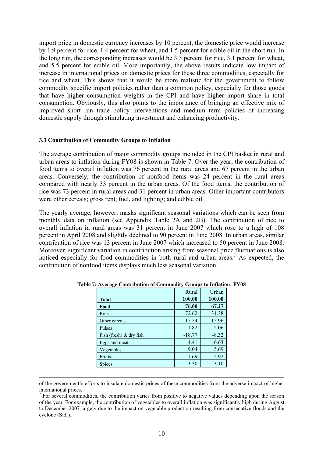import price in domestic currency increases by 10 percent, the domestic price would increase by 1.9 percent for rice, 1.4 percent for wheat, and 1.5 percent for edible oil in the short run. In the long run, the corresponding increases would be 3.3 percent for rice, 3.1 percent for wheat, and 5.5 percent for edible oil. More importantly, the above results indicate low impact of increase in international prices on domestic prices for these three commodities, especially for rice and wheat. This shows that it would be more realistic for the government to follow commodity specific import policies rather than a common policy, especially for those goods that have higher consumption weights in the CPI and have higher import share in total consumption. Obviously, this also points to the importance of bringing an effective mix of improved short run trade policy interventions and medium term policies of increasing domestic supply through stimulating investment and enhancing productivity.

#### **3.3 Contribution of Commodity Groups to Inflation**

The average contribution of major commodity groups included in the CPI basket in rural and urban areas to inflation during FY08 is shown in Table 7. Over the year, the contribution of food items to overall inflation was 76 percent in the rural areas and 67 percent in the urban areas. Conversely, the contribution of nonfood items was 24 percent in the rural areas compared with nearly 33 percent in the urban areas. Of the food items, the contribution of rice was 73 percent in rural areas and 31 percent in urban areas. Other important contributors were other cereals; gross rent, fuel, and lighting; and edible oil.

The yearly average, however, masks significant seasonal variations which can be seen from monthly data on inflation (see Appendix Table 2A and 2B). The contribution of rice to overall inflation in rural areas was 31 percent in June 2007 which rose to a high of 108 percent in April 2008 and slightly declined to 90 percent in June 2008. In urban areas, similar contribution of rice was 13 percent in June 2007 which increased to 50 percent in June 2008. Moreover, significant variation in contribution arising from seasonal price fluctuations is also noticed especially for food commodities in both rural and urban areas.<sup>7</sup> As expected, the contribution of nonfood items displays much less seasonal variation.

|                           | Rural    | Urban   |
|---------------------------|----------|---------|
| <b>Total</b>              | 100.00   | 100.00  |
| Food                      | 76.00    | 67.27   |
| Rice                      | 72.62    | 31.38   |
| Other cereals             | 15.54    | 15.96   |
| Pulses                    | 1.82     | 2.06    |
| Fish (fresh) $&$ dry fish | $-18.77$ | $-8.32$ |
| Eggs and meat             | 4.41     | 6.63    |
| Vegetables                | 9.04     | 5.69    |
| Fruits                    | 1.69     | 2.92    |
| Spices                    | 3.30     | 3.10    |

**Table 7: Average Contribution of Commodity Groups to Inflation: FY08**

of the government's efforts to insulate domestic prices of these commodities from the adverse impact of higher international prices.

 $<sup>7</sup>$  For several commodities, the contribution varies from positive to negative values depending upon the season</sup> of the year. For example, the contribution of vegetables to overall inflation was significantly high during August to December 2007 largely due to the impact on vegetable production resulting from consecutive floods and the cyclone (Sidr).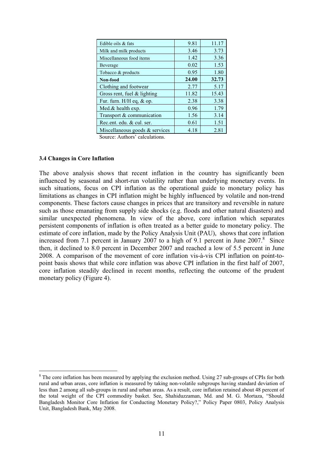| Edible oils & fats             | 9.81  | 11.17 |
|--------------------------------|-------|-------|
| Milk and milk products         | 3.46  | 3.73  |
| Miscellaneous food items       | 1.42  | 3.36  |
| Beverage                       | 0.02  | 1.53  |
| Tobacco & products             | 0.95  | 1.80  |
| Non-food                       | 24.00 | 32.73 |
| Clothing and footwear          | 2.77  | 5.17  |
| Gross rent, fuel $&$ lighting  | 11.82 | 15.43 |
| Fur. furn. $H/H$ eq, $&$ op.   | 2.38  | 3.38  |
| Med.& health exp.              | 0.96  | 1.79  |
| Transport & communication      | 1.56  | 3.14  |
| Rec.ent. edu. & cul. ser.      | 0.61  | 1.51  |
| Miscellaneous goods & services | 4.18  | 2.81  |

#### **3.4 Changes in Core Inflation**

The above analysis shows that recent inflation in the country has significantly been influenced by seasonal and short-run volatility rather than underlying monetary events. In such situations, focus on CPI inflation as the operational guide to monetary policy has limitations as changes in CPI inflation might be highly influenced by volatile and non-trend components. These factors cause changes in prices that are transitory and reversible in nature such as those emanating from supply side shocks (e.g. floods and other natural disasters) and similar unexpected phenomena. In view of the above, core inflation which separates persistent components of inflation is often treated as a better guide to monetary policy. The estimate of core inflation, made by the Policy Analysis Unit (PAU), shows that core inflation increased from 7.1 percent in January 2007 to a high of 9.1 percent in June 2007. $8$  Since then, it declined to 8.0 percent in December 2007 and reached a low of 5.5 percent in June 2008. A comparison of the movement of core inflation vis-à-vis CPI inflation on point-topoint basis shows that while core inflation was above CPI inflation in the first half of 2007, core inflation steadily declined in recent months, reflecting the outcome of the prudent monetary policy (Figure 4).

<sup>&</sup>lt;sup>8</sup> The core inflation has been measured by applying the exclusion method. Using 27 sub-groups of CPIs for both rural and urban areas, core inflation is measured by taking non-volatile subgroups having standard deviation of less than 2 among all sub-groups in rural and urban areas. As a result, core inflation retained about 48 percent of the total weight of the CPI commodity basket. See, Shahiduzzaman, Md. and M. G. Mortaza, "Should Bangladesh Monitor Core Inflation for Conducting Monetary Policy?," Policy Paper 0803, Policy Analysis Unit, Bangladesh Bank, May 2008.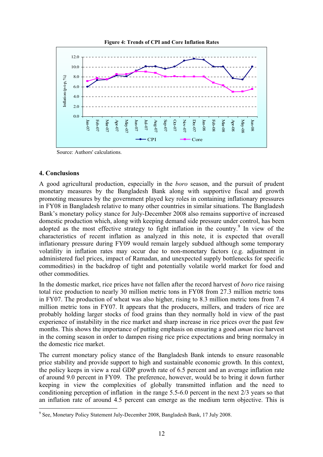



Source: Authors' calculations.

## **4. Conclusions**

A good agricultural production, especially in the *boro* season, and the pursuit of prudent monetary measures by the Bangladesh Bank along with supportive fiscal and growth promoting measures by the government played key roles in containing inflationary pressures in FY08 in Bangladesh relative to many other countries in similar situations. The Bangladesh Bank's monetary policy stance for July-December 2008 also remains supportive of increased domestic production which, along with keeping demand side pressure under control, has been adopted as the most effective strategy to fight inflation in the country.<sup>9</sup> In view of the characteristics of recent inflation as analyzed in this note, it is expected that overall inflationary pressure during FY09 would remain largely subdued although some temporary volatility in inflation rates may occur due to non-monetary factors (e.g. adjustment in administered fuel prices, impact of Ramadan, and unexpected supply bottlenecks for specific commodities) in the backdrop of tight and potentially volatile world market for food and other commodities.

In the domestic market, rice prices have not fallen after the record harvest of *boro* rice raising total rice production to nearly 30 million metric tons in FY08 from 27.3 million metric tons in FY07. The production of wheat was also higher, rising to 8.3 million metric tons from 7.4 million metric tons in FY07. It appears that the producers, millers, and traders of rice are probably holding larger stocks of food grains than they normally hold in view of the past experience of instability in the rice market and sharp increase in rice prices over the past few months. This shows the importance of putting emphasis on ensuring a good *aman* rice harvest in the coming season in order to dampen rising rice price expectations and bring normalcy in the domestic rice market.

The current monetary policy stance of the Bangladesh Bank intends to ensure reasonable price stability and provide support to high and sustainable economic growth. In this context, the policy keeps in view a real GDP growth rate of 6.5 percent and an average inflation rate of around 9.0 percent in FY09. The preference, however, would be to bring it down further keeping in view the complexities of globally transmitted inflation and the need to conditioning perception of inflation in the range 5.5-6.0 percent in the next 2/3 years so that an inflation rate of around 4.5 percent can emerge as the medium term objective. This is

<sup>&</sup>lt;sup>9</sup> See, Monetary Policy Statement July-December 2008, Bangladesh Bank, 17 July 2008.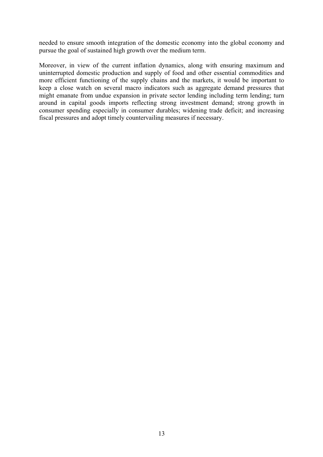needed to ensure smooth integration of the domestic economy into the global economy and pursue the goal of sustained high growth over the medium term.

Moreover, in view of the current inflation dynamics, along with ensuring maximum and uninterrupted domestic production and supply of food and other essential commodities and more efficient functioning of the supply chains and the markets, it would be important to keep a close watch on several macro indicators such as aggregate demand pressures that might emanate from undue expansion in private sector lending including term lending; turn around in capital goods imports reflecting strong investment demand; strong growth in consumer spending especially in consumer durables; widening trade deficit; and increasing fiscal pressures and adopt timely countervailing measures if necessary.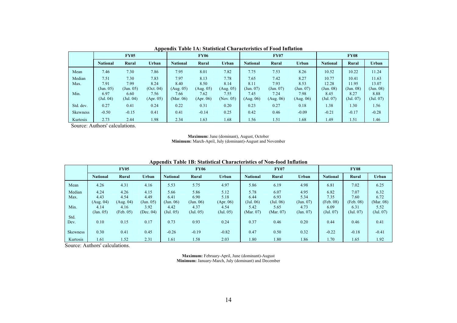|                 | <b>FY05</b>     |           |           |                 | <b>FY06</b> |           | <b>FY07</b>     |           |              | <b>FY08</b>     |           |           |
|-----------------|-----------------|-----------|-----------|-----------------|-------------|-----------|-----------------|-----------|--------------|-----------------|-----------|-----------|
|                 | <b>National</b> | Rural     | Urban     | <b>National</b> | Rural       | Urban     | <b>National</b> | Rural     | <b>Urban</b> | <b>National</b> | Rural     | Urban     |
| Mean            | 7.46            | 7.30      | 7.86      | 7.95            | 8.01        | 7.82      | 7.75            | 7.53      | 8.26         | 10.52           | 10.22     | 11.24     |
| Median          | 7.51            | 7.30      | 7.83      | 7.97            | 8.13        | 7.78      | 7.65            | 7.42      | 8.27         | 10.77           | 10.41     | 11.63     |
| Max.            | 7.91            | 7.99      | 8.24      | 8.40            | 8.50        | 8.14      | 8.11            | 7.93      | 8.53         | 12.28           | 11.95     | 13.07     |
|                 | (Jun. 05)       | (Jun. 05) | (Oct. 04) | (Aug. 05)       | (Aug. 05)   | (Aug. 05) | (Jun. 07)       | (Jun. 07) | (Jun. 07)    | (Jun. 08)       | (Jun. 08) | (Jun. 08) |
| Min.            | 6.97            | 6.60      | 7.56      | 7.66            | 7.62        | 7.55      | 7.45            | 7.24      | 7.98         | 8.45            | 8.27      | 8.88      |
|                 | (Jul. 04)       | (Jul. 04) | (Apr. 05) | (Mar. 06)       | (Apr. 06)   | (Nov. 05) | (Aug. 06)       | (Aug. 06) | (Aug. 06)    | (Jul. 07)       | (Jul. 07) | (Jul. 07) |
| Std. dev.       | 0.27            | 0.41      | 0.24      | 0.22            | 0.31        | 0.20      | 0.23            | 0.27      | 0.18         | 1.38            | 1.30      | 1.56      |
| <b>Skewness</b> | $-0.50$         | $-0.15$   | 0.41      | 0.41            | $-0.14$     | 0.25      | 0.42            | 0.46      | $-0.09$      | $-0.21$         | $-0.17$   | $-0.28$   |
| Kurtosis        | 2.73            | 2.44      | 1.98      | 2.34            | 1.63        | 1.68      | 1.56            | 1.51      | 1.68         | 1.49            | 1.51      | 1.46      |

**Appendix Table 1A: Statistical Characteristics of Food Inflation**

#### **Maximum:** June (dominant), August, October

**Minimum:** March-April, July (dominant)-August and November

|                 | лрренита тарие тр. бианянсат спатаецегичез от гулт-тоой типацоп |           |           |                 |             |           |                 |                 |           |                 |           |              |
|-----------------|-----------------------------------------------------------------|-----------|-----------|-----------------|-------------|-----------|-----------------|-----------------|-----------|-----------------|-----------|--------------|
|                 | <b>FY05</b>                                                     |           |           |                 | <b>FY06</b> |           |                 | <b>FY07</b>     |           | <b>FY08</b>     |           |              |
|                 | <b>National</b>                                                 | Rural     | Urban     | <b>National</b> | Rural       | Urban     | <b>National</b> | Rural           | Urban     | <b>National</b> | Rural     | <b>Urban</b> |
| Mean            | 4.26                                                            | 4.31      | 4.16      | 5.53            | 5.75        | 4.97      | 5.86            | 6.19            | 4.98      | 6.81            | 7.02      | 6.25         |
| Median          | 4.24                                                            | 4.26      | 4.15      | 5.66            | 5.86        | 5.12      | 5.78            | 6.07            | 4.95      | 6.82            | 7.07      | 6.32         |
| Max.            | 4.43                                                            | 4.54      | 4.49      | 6.41            | 6.90        | 5.18      | 6.44            | 6.93            | 5.34      | 7.35            | 7.60      | 6.72         |
|                 | (Aug. 04)                                                       | (Aug. 04) | (Jun. 05) | (Jun. 06)       | (Jun. 06)   | (Apr. 06) | (Jul. 06)       | $($ Jul. 06 $)$ | (Jun. 07) | (Feb. 08)       | (Feb. 08) | (Mar. 08)    |
| Min.            | 4.14                                                            | 4.16      | 3.92      | 4.42            | 4.37        | 4.54      | 5.42            | 5.65            | 4.73      | 6.09            | 6.31      | 5.52         |
|                 | (Jan. 05)                                                       | (Feb. 05) | (Dec. 04) | (Jul. 05)       | (Jul. 05)   | (Jul. 05) | (Mar. 07)       | (Mar. 07)       | (Jan. 07) | (Jul. 07)       | (Jul. 07) | (Jul. 07)    |
| Std.            |                                                                 |           |           |                 |             |           |                 |                 |           |                 |           |              |
| Dev.            | 0.10                                                            | 0.15      | 0.17      | 0.73            | 0.93        | 0.24      | 0.37            | 0.46            | 0.20      | 0.44            | 0.46      | 0.41         |
|                 |                                                                 |           |           |                 |             |           |                 |                 |           |                 |           |              |
| <b>Skewness</b> | 0.30                                                            | 0.41      | 0.45      | $-0.26$         | $-0.19$     | $-0.82$   | 0.47            | 0.50            | 0.32      | $-0.22$         | $-0.18$   | $-0.41$      |
| Kurtosis        | 1.61                                                            | 1.52      | 2.31      | 1.61            | 1.58        | 2.03      | 1.80            | 1.80            | 1.86      | 1.70            | 1.65      | 1.92         |

**Appendix Table 1B: Statistical Characteristics of Non-food Inflation**

Source: Authors' calculations.

**Maximum:** February-April, June (dominant)-August **Minimum:** January-March, July (dominant) and December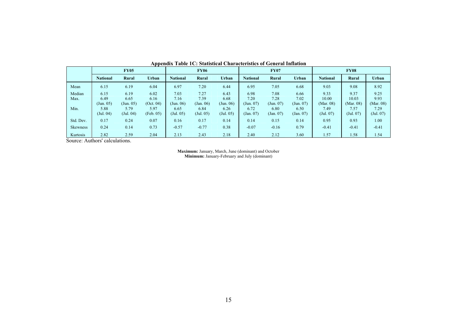|                 | <b>FY05</b>     |           |           |                 | <b>FY06</b> |           | <b>FY07</b>     |                                  |           | <b>FY08</b>     |           |           |  |
|-----------------|-----------------|-----------|-----------|-----------------|-------------|-----------|-----------------|----------------------------------|-----------|-----------------|-----------|-----------|--|
|                 | <b>National</b> | Rural     | Urban     | <b>National</b> | Rural       | Urban     | <b>National</b> | Rural                            | Urban     | <b>National</b> | Rural     | Urban     |  |
| Mean            | 6.15            | 6.19      | 6.04      | 6.97            | 7.20        | 6.44      | 6.95            | 7.05                             | 6.68      | 9.03            | 9.08      | 8.92      |  |
| Median          | 6.15            | 6.19      | 6.02      | 7.03            | 7.27        | 6.43      | 6.98            | 7.08                             | 6.66      | 9.33            | 9.37      | 9.25      |  |
| Max.            | 6.49            | 6.65      | 6.16      | 7.16            | 7.39        | 6.68      | 7.20            | 7.28                             | 7.02      | 10.00           | 10.03     | 9.93      |  |
|                 | (Jun. 05)       | (Jun. 05) | (Oct. 04) | (Jun. 06)       | (Jan. 06)   | (Jun. 06) | (Jun. 07)       | $\left( \text{Jun. } 07 \right)$ | (Jun. 07) | (Mar. 08)       | (Mar. 08) | (Mar. 08) |  |
| Min.            | 5.88            | 5.79      | 5.97      | 6.65            | 6.84        | 6.26      | 6.72            | 6.80                             | 6.50      | 7.49            | 7.57      | 7.29      |  |
|                 | (Jul. 04)       | (Jul. 04) | (Feb. 05) | (Jul. 05)       | (Jul. 05)   | (Jul. 05) | (Jan. 07)       | (Jan. 07)                        | (Jan. 07) | (Jul. 07)       | (Jul. 07) | (Jul. 07) |  |
| Std. Dev.       | 0.17            | 0.24      | 0.07      | 0.16            | 0.17        | 0.14      | 0.14            | 0.15                             | 0.14      | 0.95            | 0.93      | 1.00      |  |
| <b>Skewness</b> | 0.24            | 0.14      | 0.73      | $-0.57$         | $-0.77$     | 0.38      | $-0.07$         | $-0.16$                          | 0.79      | $-0.41$         | $-0.41$   | $-0.41$   |  |
| Kurtosis        | 2.82            | 2.59      | 2.04      | 2.13            | 2.43        | 2.18      | 2.40            | 2.12                             | 3.60      | 1.57            | 1.58      | 1.54      |  |

**Appendix Table 1C: Statistical Characteristics of General Inflation**

**Maximum:** January, March, June (dominant) and October **Minimum:** January-February and July (dominant)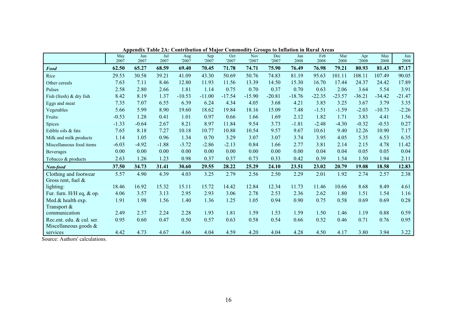|                                                    | rr<br>May<br>2007 | Jun<br>2007 | Jul<br>2007 | Aug<br>'2007 | Sep<br>'2007 | Oct<br>'2007 | <b>Nov</b><br>'2007 | Dec<br>'2007 | Jan<br>2008 | Feb<br>2008 | Mar<br>2008 | Apr<br>'2008 | May<br>2008 | Jun<br>2008 |
|----------------------------------------------------|-------------------|-------------|-------------|--------------|--------------|--------------|---------------------|--------------|-------------|-------------|-------------|--------------|-------------|-------------|
| Food                                               | 62.50             | 65.27       | 68.59       | 69.40        | 70.45        | 71.78        | 74.71               | 75.90        | 76.49       | 76.98       | 79.21       | 80.93        | 81.43       | 87.17       |
| Rice                                               | 29.53             | 30.58       | 39.21       | 41.09        | 43.30        | 50.69        | 50.76               | 74.83        | 81.19       | 95.63       | 101.11      | 108.11       | 107.49      | 90.05       |
| Other cereals                                      | 7.63              | 7.11        | 8.46        | 12.80        | 11.93        | 11.56        | 13.39               | 14.50        | 15.30       | 16.70       | 17.44       | 24.37        | 24.42       | 17.89       |
| Pulses                                             | 2.58              | 2.80        | 2.66        | 1.81         | 1.14         | 0.75         | 0.70                | 0.37         | 0.70        | 0.63        | 2.06        | 3.64         | 5.54        | 3.91        |
| Fish (fresh) & dry fish                            | 8.42              | 8.19        | 1.37        | $-10.53$     | $-11.00$     | $-17.54$     | $-15.90$            | $-20.81$     | $-18.76$    | $-22.35$    | $-23.57$    | $-36.21$     | $-34.42$    | $-21.47$    |
| Eggs and meat                                      | 7.35              | 7.07        | 6.55        | 6.39         | 6.24         | 4.34         | 4.05                | 3.68         | 4.21        | 3.85        | 3.25        | 3.67         | 3.79        | 3.35        |
| Vegetables                                         | 5.66              | 5.99        | 8.90        | 19.60        | 18.62        | 19.84        | 18.16               | 15.09        | 7.48        | $-1.51$     | $-1.59$     | $-2.03$      | $-10.73$    | $-2.26$     |
| Fruits:                                            | $-0.53$           | 1.28        | 0.41        | 1.01         | 0.97         | 0.66         | 1.66                | 1.69         | 2.12        | 1.82        | 1.71        | 3.83         | 4.41        | 1.56        |
| Spices                                             | $-1.33$           | $-0.64$     | 2.67        | 8.21         | 8.97         | 11.84        | 9.54                | 3.73         | $-1.81$     | $-2.48$     | $-4.30$     | $-0.32$      | $-0.53$     | 0.27        |
| Edible oils & fats                                 | 7.65              | 8.18        | 7.27        | 10.18        | 10.77        | 10.88        | 10.54               | 9.57         | 9.67        | 10.61       | 9.40        | 12.26        | 10.90       | 7.17        |
| Milk and milk products                             | 1.14              | 1.05        | 0.96        | 1.34         | 0.70         | 3.29         | 3.07                | 3.07         | 3.74        | 3.95        | 4.05        | 5.35         | 6.53        | 6.35        |
| Miscellaneous food items                           | $-6.03$           | $-4.92$     | $-1.88$     | $-3.72$      | $-2.86$      | $-2.13$      | 0.84                | 1.66         | 2.77        | 3.81        | 2.14        | 2.15         | 4.78        | 11.42       |
| Beverages                                          | 0.00              | 0.00        | 0.00        | 0.00         | 0.00         | 0.00         | 0.00                | 0.00         | 0.00        | 0.04        | 0.04        | 0.05         | 0.05        | $0.04\,$    |
| Tobacco & products                                 | 2.63              | 1.26        | 1.23        | 0.98         | 0.37         | 0.37         | 0.73                | 0.33         | 0.42        | 0.39        | 1.54        | 1.50         | 1.94        | 2.11        |
| Non-food                                           | 37.50             | 34.73       | 31.41       | 30.60        | 29.55        | 28.22        | 25.29               | 24.10        | 23.51       | 23.02       | 20.79       | 19.08        | 18.58       | 12.83       |
| Clothing and footwear<br>Gross rent, fuel $\&$     | 5.57              | 4.90        | 4.39        | 4.03         | 3.25         | 2.79         | 2.56                | 2.50         | 2.29        | 2.01        | 1.92        | 2.74         | 2.57        | 2.38        |
| lighting:                                          | 18.46             | 16.92       | 15.32       | 15.11        | 15.72        | 14.42        | 12.84               | 12.34        | 11.73       | 11.46       | 10.66       | 8.68         | 8.49        | 4.61        |
| Fur. furn. H/H eq, & op.                           | 4.06              | 3.57        | 3.13        | 2.95         | 2.93         | 3.06         | 2.78                | 2.53         | 2.36        | 2.62        | 1.80        | 1.51         | 1.54        | 1.16        |
| Med.& health exp.                                  | 1.91              | 1.98        | 1.56        | 1.40         | 1.36         | 1.25         | 1.05                | 0.94         | 0.90        | 0.75        | 0.58        | 0.69         | 0.69        | 0.28        |
| Transport &                                        |                   |             |             |              |              |              |                     |              |             |             |             |              |             |             |
| communication                                      | 2.49              | 2.37        | 2.24        | 2.28         | 1.93         | 1.81         | 1.59                | 1.53         | 1.59        | 1.50        | 1.46        | 1.19         | 0.88        | 0.59        |
| Rec.ent. edu. & cul. ser.<br>Miscellaneous goods & | 0.95              | 0.60        | 0.47        | 0.50         | 0.57         | 0.63         | 0.58                | 0.54         | 0.66        | 0.52        | 0.46        | 0.71         | 0.76        | 0.95        |
| services                                           | 4.42              | 4.73        | 4.67        | 4.66         | 4.04         | 4.59         | 4.20                | 4.04         | 4.28        | 4.50        | 4.17        | 3.80         | 3.94        | 3.22        |

**Appendix Table 2A: Contribution of Major Commodity Groups to Inflation in Rural Areas**